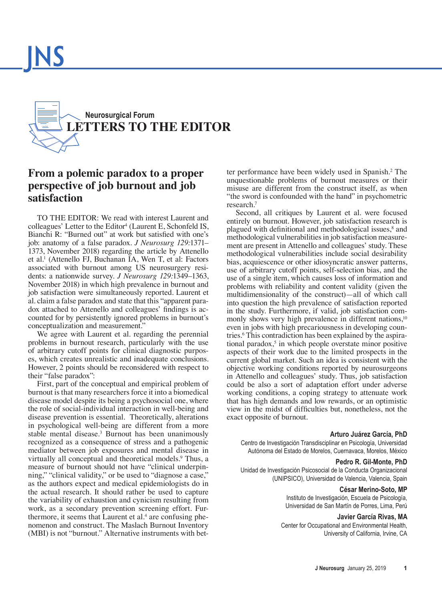

# **From a polemic paradox to a proper perspective of job burnout and job satisfaction**

TO THE EDITOR: We read with interest Laurent and colleagues' Letter to the Editor<sup>4</sup> [\(Laurent E, Schonfeld IS,](https://thejns.org/doi/abs/10.3171/2018.2.JNS18430) [Bianchi R: "Burned out" at work but satisfed with one's](https://thejns.org/doi/abs/10.3171/2018.2.JNS18430) [job: anatomy of a false paradox.](https://thejns.org/doi/abs/10.3171/2018.2.JNS18430) *J Neurosurg 129:*1371– [1373, November 2018\)](https://thejns.org/doi/abs/10.3171/2018.2.JNS18430) regarding the article by Attenello et al.1 [\(Attenello FJ, Buchanan IA, Wen T, et al: Factors](https://thejns.org/doi/abs/10.3171/2017.9.JNS17996) [associated with burnout among US neurosurgery resi](https://thejns.org/doi/abs/10.3171/2017.9.JNS17996)dents: a nationwide survey. *J Neurosurg 129:*1349–1363, [November 2018\)](https://thejns.org/doi/abs/10.3171/2017.9.JNS17996) in which high prevalence in burnout and job satisfaction were simultaneously reported. Laurent et al. claim a false paradox and state that this "apparent paradox attached to Attenello and colleagues' fndings is accounted for by persistently ignored problems in burnout's conceptualization and measurement."

We agree with Laurent et al. regarding the perennial problems in burnout research, particularly with the use of arbitrary cutoff points for clinical diagnostic purposes, which creates unrealistic and inadequate conclusions. However, 2 points should be reconsidered with respect to their "false paradox":

First, part of the conceptual and empirical problem of burnout is that many researchers force it into a biomedical disease model despite its being a psychosocial one, where the role of social-individual interaction in well-being and disease prevention is essential. Theoretically, alterations in psychological well-being are different from a more stable mental disease.3 Burnout has been unanimously recognized as a consequence of stress and a pathogenic mediator between job exposures and mental disease in virtually all conceptual and theoretical models.<sup>9</sup> Thus, a measure of burnout should not have "clinical underpinning," "clinical validity," or be used to "diagnose a case," as the authors expect and medical epidemiologists do in the actual research. It should rather be used to capture the variability of exhaustion and cynicism resulting from work, as a secondary prevention screening effort. Furthermore, it seems that Laurent et al.<sup>4</sup> are confusing phenomenon and construct. The Maslach Burnout Inventory (MBI) is not "burnout." Alternative instruments with bet-

ter performance have been widely used in Spanish.2 The unquestionable problems of burnout measures or their misuse are different from the construct itself, as when "the sword is confounded with the hand" in psychometric research.7

Second, all critiques by Laurent et al. were focused entirely on burnout. However, job satisfaction research is plagued with definitional and methodological issues,<sup>8</sup> and methodological vulnerabilities in job satisfaction measurement are present in Attenello and colleagues' study. These methodological vulnerabilities include social desirability bias, acquiescence or other idiosyncratic answer patterns, use of arbitrary cutoff points, self-selection bias, and the use of a single item, which causes loss of information and problems with reliability and content validity (given the multidimensionality of the construct)—all of which call into question the high prevalence of satisfaction reported in the study. Furthermore, if valid, job satisfaction commonly shows very high prevalence in different nations,<sup>10</sup> even in jobs with high precariousness in developing countries.<sup>6</sup> This contradiction has been explained by the aspirational paradox,<sup>5</sup> in which people overstate minor positive aspects of their work due to the limited prospects in the current global market. Such an idea is consistent with the objective working conditions reported by neurosurgeons in Attenello and colleagues' study. Thus, job satisfaction could be also a sort of adaptation effort under adverse working conditions, a coping strategy to attenuate work that has high demands and low rewards, or an optimistic view in the midst of diffculties but, nonetheless, not the exact opposite of burnout.

#### **Arturo Juárez García, PhD**

Centro de Investigación Transdisciplinar en Psicología, Universidad Autónoma del Estado de Morelos, Cuernavaca, Morelos, México

# **Pedro R. Gil-Monte, PhD**

Unidad de Investigación Psicosocial de la Conducta Organizacional (UNIPSICO), Universidad de Valencia, Valencia, Spain

#### **César Merino-Soto, MP**

Instituto de Investigación, Escuela de Psicología, Universidad de San Martín de Porres, Lima, Perú

#### **Javier García Rivas, MA**

Center for Occupational and Environmental Health, University of California, Irvine, CA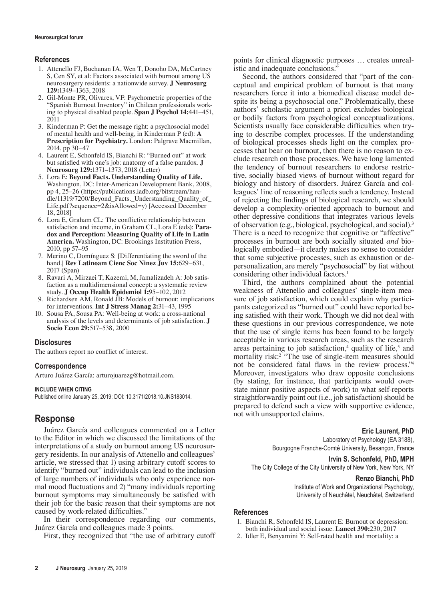# **References**

- 1. Attenello FJ, Buchanan IA, Wen T, Donoho DA, McCartney S, Cen SY, et al: Factors associated with burnout among US neurosurgery residents: a nationwide survey. **J Neurosurg 129:**1349–1363, 2018
- 2. Gil-Monte PR, Olivares, VF: Psychometric properties of the "Spanish Burnout Inventory" in Chilean professionals working to physical disabled people. **Span J Psychol 14:**441–451, 2011
- 3. Kinderman P: Get the message right: a psychosocial model of mental health and well-being, in Kinderman P (ed): **A Prescription for Psychiatry.** London: Palgrave Macmillan, 2014, pp 30–47
- 4. Laurent E, Schonfeld IS, Bianchi R: "Burned out" at work but satisfed with one's job: anatomy of a false paradox. **J Neurosurg 129:**1371–1373, 2018 (Letter)
- 5. Lora E: **Beyond Facts. Understanding Quality of Life.** Washington, DC: Inter-American Development Bank, 2008, pp 4, 25–26 (https://publications.iadb.org/bitstream/handle/11319/7200/Beyond Facts. Understanding Quality of Life.pdf?sequence=2&isAllowed=y) [Accessed December 18, 2018]
- 6. Lora E, Graham CL: The confictive relationship between satisfaction and income, in Graham CL, Lora E (eds): **Paradox and Perception: Measuring Quality of Life in Latin America.** Washington, DC: Brookings Institution Press, 2010, pp 57–95
- 7. Merino C, Domínguez S: [Differentiating the sword of the hand.] **Rev Latinoam Cienc Soc Ninez Juv 15:**629–631, 2017 (Span)
- 8. Ravari A, Mirzaei T, Kazemi, M, Jamalizadeh A: Job satisfaction as a multidimensional concept: a systematic review study. **J Occup Health Epidemiol 1:**95–102, 2012
- 9. Richardsen AM, Ronald JB: Models of burnout: implications for interventions. **Int J Stress Manag 2:**31–43, 1995
- 10. Sousa PA, Sousa PA: Well-being at work: a cross-national analysis of the levels and determinants of job satisfaction. **J Socio Econ 29:**517–538, 2000

# **Disclosures**

The authors report no conflict of interest.

# **Correspondence**

Arturo Juárez García: arturojuarezg@hotmail.com.

#### **INCLUDE WHEN CITING**

Published online January 25, 2019; DOI: 10.3171/2018.10.JNS183014.

# **Response**

Juárez García and colleagues commented on a Letter to the Editor in which we discussed the limitations of the interpretations of a study on burnout among US neurosurgery residents. In our analysis of Attenello and colleagues' article, we stressed that 1) using arbitrary cutoff scores to identify "burned out" individuals can lead to the inclusion of large numbers of individuals who only experience normal mood fuctuations and 2) "many individuals reporting burnout symptoms may simultaneously be satisfed with their job for the basic reason that their symptoms are not caused by work-related difficulties."

In their correspondence regarding our comments, Juárez García and colleagues made 3 points.

First, they recognized that "the use of arbitrary cutoff

points for clinical diagnostic purposes … creates unrealistic and inadequate conclusions.'

Second, the authors considered that "part of the conceptual and empirical problem of burnout is that many researchers force it into a biomedical disease model despite its being a psychosocial one." Problematically, these authors' scholastic argument a priori excludes biological or bodily factors from psychological conceptualizations. Scientists usually face considerable diffculties when trying to describe complex processes. If the understanding of biological processes sheds light on the complex processes that bear on burnout, then there is no reason to exclude research on those processes. We have long lamented the tendency of burnout researchers to endorse restrictive, socially biased views of burnout without regard for biology and history of disorders. Juárez García and colleagues' line of reasoning refects such a tendency. Instead of rejecting the fndings of biological research, we should develop a complexity-oriented approach to burnout and other depressive conditions that integrates various levels of observation (e.g., biological, psychological, and social).3 There is a need to recognize that cognitive or "affective" processes in burnout are both socially situated *and* biologically embodied—it clearly makes no sense to consider that some subjective processes, such as exhaustion or depersonalization, are merely "psychosocial" by fat without considering other individual factors.<sup>1</sup>

Third, the authors complained about the potential weakness of Attenello and colleagues' single-item measure of job satisfaction, which could explain why participants categorized as "burned out" could have reported being satisfed with their work. Though we did not deal with these questions in our previous correspondence, we note that the use of single items has been found to be largely acceptable in various research areas, such as the research areas pertaining to job satisfaction,<sup>4</sup> quality of life,<sup>5</sup> and mortality risk:<sup>2</sup> "The use of single-item measures should not be considered fatal faws in the review process."<sup>4</sup> Moreover, investigators who draw opposite conclusions (by stating, for instance, that participants would overstate minor positive aspects of work) to what self-reports straightforwardly point out (i.e., job satisfaction) should be prepared to defend such a view with supportive evidence, not with unsupported claims.

# **Eric Laurent, PhD**

Laboratory of Psychology (EA 3188), Bourgogne Franche-Comté University, Besançon, France

**Irvin S. Schonfeld, PhD, MPH**

The City College of the City University of New York, New York, NY

#### **Renzo Bianchi, PhD**

Institute of Work and Organizational Psychology, University of Neuchâtel, Neuchâtel, Switzerland

# **References**

- 1. Bianchi R, Schonfeld IS, Laurent E: Burnout or depression: both individual and social issue. **Lancet 390:**230, 2017
- 2. Idler E, Benyamini Y: Self-rated health and mortality: a